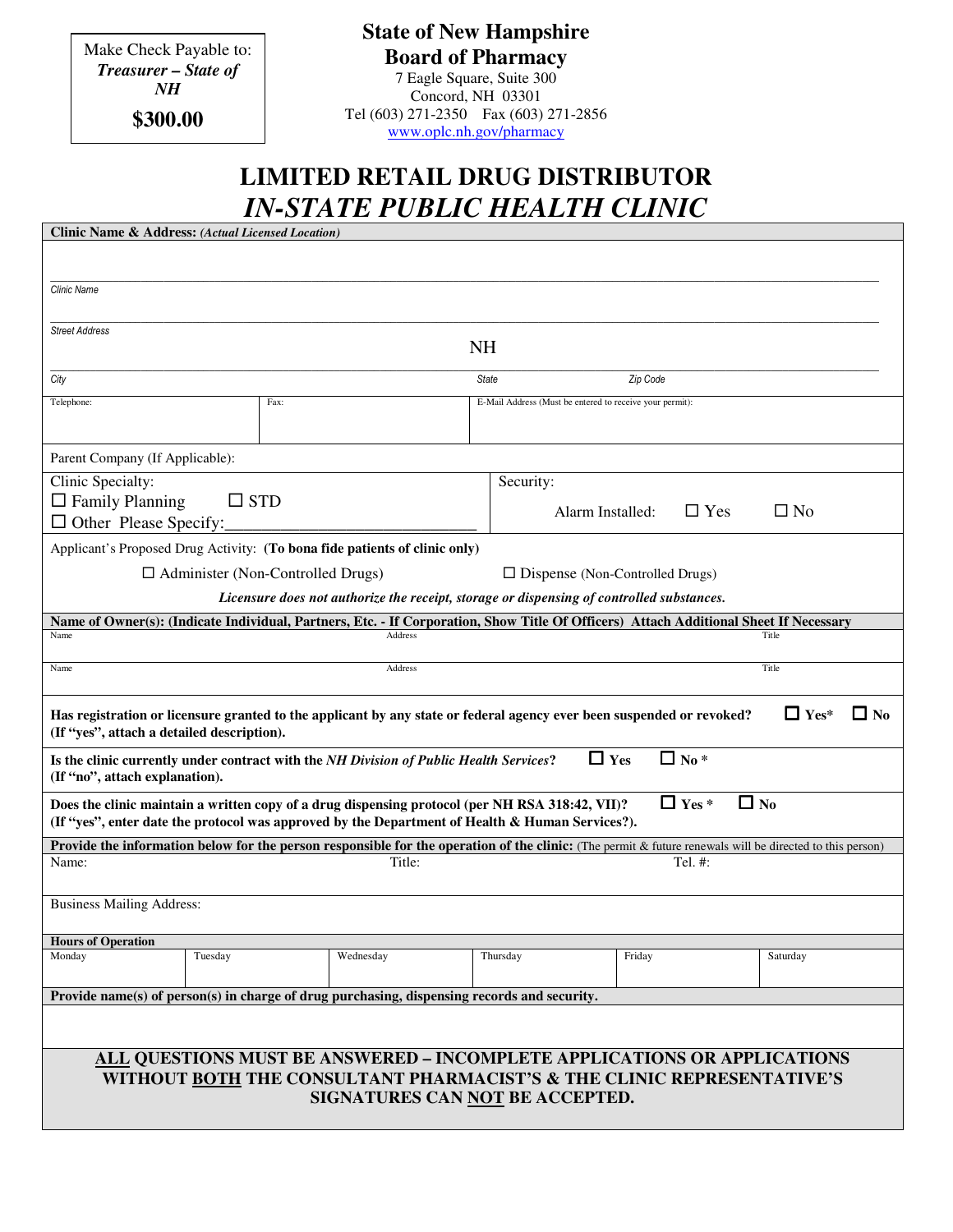Make Check Payable to: *Treasurer – State of NH*

**\$300.00**

**State of New Hampshire Board of Pharmacy** 7 Eagle Square, Suite 300 Concord, NH 03301 Tel (603) 271-2350 Fax (603) 271-2856 www.oplc.nh.gov/pharmacy

## **LIMITED RETAIL DRUG DISTRIBUTOR**  *IN-STATE PUBLIC HEALTH CLINIC*

| <b>Clinic Name &amp; Address: (Actual Licensed Location)</b>                                                                                                                                    |                                                                                                                                                                                      |                                                                                                                                       |  |  |  |  |
|-------------------------------------------------------------------------------------------------------------------------------------------------------------------------------------------------|--------------------------------------------------------------------------------------------------------------------------------------------------------------------------------------|---------------------------------------------------------------------------------------------------------------------------------------|--|--|--|--|
|                                                                                                                                                                                                 |                                                                                                                                                                                      |                                                                                                                                       |  |  |  |  |
|                                                                                                                                                                                                 |                                                                                                                                                                                      |                                                                                                                                       |  |  |  |  |
| <b>Clinic Name</b>                                                                                                                                                                              |                                                                                                                                                                                      |                                                                                                                                       |  |  |  |  |
|                                                                                                                                                                                                 |                                                                                                                                                                                      |                                                                                                                                       |  |  |  |  |
| <b>Street Address</b><br><b>NH</b>                                                                                                                                                              |                                                                                                                                                                                      |                                                                                                                                       |  |  |  |  |
|                                                                                                                                                                                                 |                                                                                                                                                                                      |                                                                                                                                       |  |  |  |  |
| City                                                                                                                                                                                            |                                                                                                                                                                                      | <b>State</b><br>Zip Code                                                                                                              |  |  |  |  |
| Telephone:                                                                                                                                                                                      | Fax:                                                                                                                                                                                 | E-Mail Address (Must be entered to receive your permit):                                                                              |  |  |  |  |
|                                                                                                                                                                                                 |                                                                                                                                                                                      |                                                                                                                                       |  |  |  |  |
| Parent Company (If Applicable):                                                                                                                                                                 |                                                                                                                                                                                      |                                                                                                                                       |  |  |  |  |
| Clinic Specialty:                                                                                                                                                                               |                                                                                                                                                                                      | Security:                                                                                                                             |  |  |  |  |
| $\Box$ Family Planning<br>$\square$ STD                                                                                                                                                         |                                                                                                                                                                                      | $\Box$ Yes<br>$\Box$ No<br>Alarm Installed:                                                                                           |  |  |  |  |
| $\Box$ Other Please Specify:                                                                                                                                                                    |                                                                                                                                                                                      |                                                                                                                                       |  |  |  |  |
| Applicant's Proposed Drug Activity: (To bona fide patients of clinic only)                                                                                                                      |                                                                                                                                                                                      |                                                                                                                                       |  |  |  |  |
| $\Box$ Administer (Non-Controlled Drugs)<br>$\Box$ Dispense (Non-Controlled Drugs)                                                                                                              |                                                                                                                                                                                      |                                                                                                                                       |  |  |  |  |
|                                                                                                                                                                                                 |                                                                                                                                                                                      | Licensure does not authorize the receipt, storage or dispensing of controlled substances.                                             |  |  |  |  |
|                                                                                                                                                                                                 |                                                                                                                                                                                      | Name of Owner(s): (Indicate Individual, Partners, Etc. - If Corporation, Show Title Of Officers) Attach Additional Sheet If Necessary |  |  |  |  |
| Name                                                                                                                                                                                            | Address                                                                                                                                                                              | Title                                                                                                                                 |  |  |  |  |
| Name                                                                                                                                                                                            | Address                                                                                                                                                                              | Title                                                                                                                                 |  |  |  |  |
|                                                                                                                                                                                                 |                                                                                                                                                                                      |                                                                                                                                       |  |  |  |  |
| $\Box$ Yes*<br>$\Box$ No<br>Has registration or licensure granted to the applicant by any state or federal agency ever been suspended or revoked?<br>(If "yes", attach a detailed description). |                                                                                                                                                                                      |                                                                                                                                       |  |  |  |  |
| $\Box$ No $*$<br>$\Box$ Yes<br>Is the clinic currently under contract with the NH Division of Public Health Services?<br>(If "no", attach explanation).                                         |                                                                                                                                                                                      |                                                                                                                                       |  |  |  |  |
| $\Box$ Yes *<br>$\Box$ No<br>Does the clinic maintain a written copy of a drug dispensing protocol (per NH RSA 318:42, VII)?                                                                    |                                                                                                                                                                                      |                                                                                                                                       |  |  |  |  |
| (If "yes", enter date the protocol was approved by the Department of Health & Human Services?).                                                                                                 |                                                                                                                                                                                      |                                                                                                                                       |  |  |  |  |
| Name:                                                                                                                                                                                           | <b>Provide the information below for the person responsible for the operation of the clinic:</b> (The permit & future renewals will be directed to this person)<br>Title:<br>Tel. #: |                                                                                                                                       |  |  |  |  |
|                                                                                                                                                                                                 |                                                                                                                                                                                      |                                                                                                                                       |  |  |  |  |
| <b>Business Mailing Address:</b>                                                                                                                                                                |                                                                                                                                                                                      |                                                                                                                                       |  |  |  |  |
|                                                                                                                                                                                                 |                                                                                                                                                                                      |                                                                                                                                       |  |  |  |  |
| <b>Hours of Operation</b>                                                                                                                                                                       |                                                                                                                                                                                      |                                                                                                                                       |  |  |  |  |
| Monday<br>Tuesday                                                                                                                                                                               | Wednesday                                                                                                                                                                            | Thursdav<br>Friday<br>Saturday                                                                                                        |  |  |  |  |
| Provide name(s) of person(s) in charge of drug purchasing, dispensing records and security.                                                                                                     |                                                                                                                                                                                      |                                                                                                                                       |  |  |  |  |
|                                                                                                                                                                                                 |                                                                                                                                                                                      |                                                                                                                                       |  |  |  |  |
|                                                                                                                                                                                                 |                                                                                                                                                                                      |                                                                                                                                       |  |  |  |  |
|                                                                                                                                                                                                 |                                                                                                                                                                                      | ALL QUESTIONS MUST BE ANSWERED – INCOMPLETE APPLICATIONS OR APPLICATIONS                                                              |  |  |  |  |
|                                                                                                                                                                                                 |                                                                                                                                                                                      | WITHOUT BOTH THE CONSULTANT PHARMACIST'S & THE CLINIC REPRESENTATIVE'S                                                                |  |  |  |  |
| SIGNATURES CAN NOT BE ACCEPTED.                                                                                                                                                                 |                                                                                                                                                                                      |                                                                                                                                       |  |  |  |  |